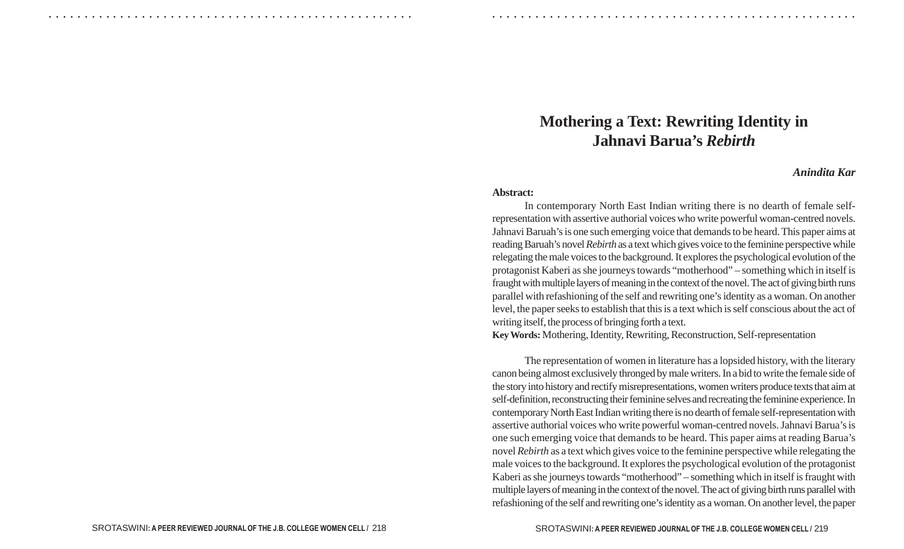## **Mothering a Text: Rewriting Identity in Jahnavi Barua's** *Rebirth*

## *Anindita Kar*

## **Abstract:**

○ ○ ○ ○ ○ ○ ○ ○ ○ ○ ○ ○ ○ ○ ○ ○ ○ ○ ○ ○ ○ ○ ○ ○ ○ ○ ○ ○ ○ ○ ○ ○ ○ ○ ○ ○ ○ ○ ○ ○ ○ ○ ○ ○ ○ ○ ○ ○ ○ ○ ○ ○ ○ ○ ○ ○ ○ ○ ○ ○ ○ ○ ○ ○ ○ ○ ○ ○ ○ ○ ○ ○ ○ ○ ○ ○ ○ ○ ○ ○ ○ ○ ○ ○ ○ ○ ○ ○ ○ ○ ○ ○ ○ ○ ○ ○ ○ ○ ○ ○ ○ ○

In contemporary North East Indian writing there is no dearth of female selfrepresentation with assertive authorial voices who write powerful woman-centred novels. Jahnavi Baruah's is one such emerging voice that demands to be heard. This paper aims at reading Baruah's novel *Rebirth* as a text which gives voice to the feminine perspective while relegating the male voices to the background. It explores the psychological evolution of the protagonist Kaberi as she journeys towards "motherhood" – something which in itself is fraught with multiple layers of meaning in the context of the novel. The act of giving birth runs parallel with refashioning of the self and rewriting one's identity as a woman. On another level, the paper seeks to establish that this is a text which is self conscious about the act of writing itself, the process of bringing forth a text.

**Key Words:**Mothering, Identity, Rewriting, Reconstruction, Self-representation

The representation of women in literature has a lopsided history, with the literary canon being almost exclusively thronged by male writers. In a bid to write the female side of the story into history and rectify misrepresentations, women writers produce texts that aim at self-definition, reconstructing their feminine selves and recreating the feminine experience. In contemporary North East Indian writing there is no dearth of female self-representation with assertive authorial voices who write powerful woman-centred novels. Jahnavi Barua's is one such emerging voice that demands to be heard. This paper aims at reading Barua's novel *Rebirth* as a text which gives voice to the feminine perspective while relegating the male voices to the background. It explores the psychological evolution of the protagonist Kaberi as she journeys towards "motherhood" – something which in itself is fraught with multiple layers of meaning in the context of the novel. The act of giving birth runs parallel with refashioning of the self and rewriting one's identity as a woman. On another level, the paper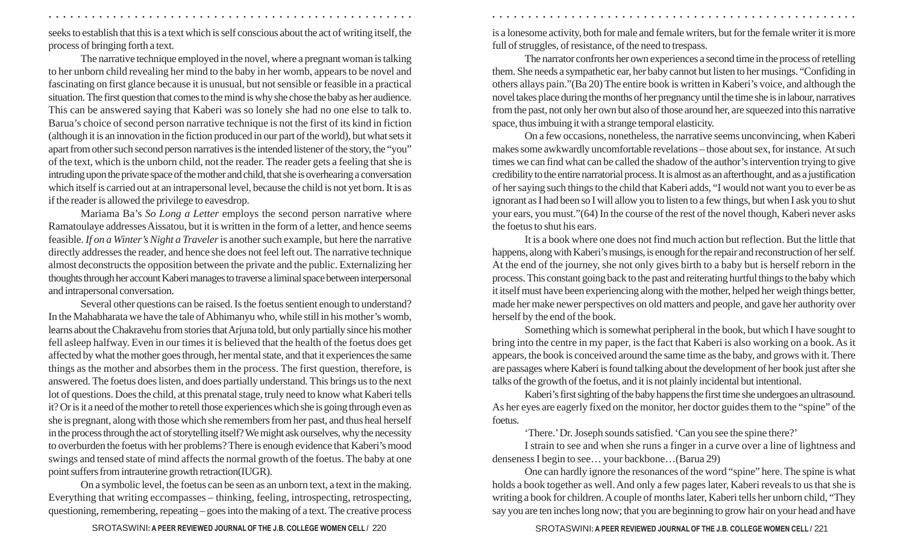seeks to establish that this is a text which is self conscious about the act of writing itself, the process of bringing forth a text.

The narrative technique employed in the novel, where a pregnant woman is talking to her unborn child revealing her mind to the baby in her womb, appears to be novel and fascinating on first glance because it is unusual, but not sensible or feasible in a practical situation. The first question that comes to the mind is why she chose the baby as her audience. This can be answered saying that Kaberi was so lonely she had no one else to talk to. Barua's choice of second person narrative technique is not the first of its kind in fiction (although it is an innovation in the fiction produced in our part of the world), but what sets it apart from other such second person narratives is the intended listener of the story, the "you" of the text, which is the unborn child, not the reader. The reader gets a feeling that she is intruding upon the private space of the mother and child, that she is overhearing a conversation which itself is carried out at an intrapersonal level, because the child is not yet born. It is as if the reader is allowed the privilege to eavesdrop.

Mariama Ba's *So Long a Letter* employs the second person narrative where Ramatoulaye addresses Aissatou, but it is written in the form of a letter, and hence seems feasible. *If on a Winter's Night a Traveler* is another such example, but here the narrative directly addresses the reader, and hence she does not feel left out. The narrative technique almost deconstructs the opposition between the private and the public. Externalizing her thoughts through her account Kaberi manages to traverse a liminal space between interpersonal and intrapersonal conversation.

Several other questions can be raised. Is the foetus sentient enough to understand? In the Mahabharata we have the tale of Abhimanyu who, while still in his mother's womb, learns about the Chakravehu from stories that Arjuna told, but only partially since his mother fell asleep halfway. Even in our times it is believed that the health of the foetus does get affected by what the mother goes through, her mental state, and that it experiences the same things as the mother and absorbes them in the process. The first question, therefore, is answered. The foetus does listen, and does partially understand. This brings us to the next lot of questions. Does the child, at this prenatal stage, truly need to know what Kaberi tells it? Or is it a need of the mother to retell those experiences which she is going through even as she is pregnant, along with those which she remembers from her past, and thus heal herself in the process through the act of storytelling itself? We might ask ourselves, why the necessity to overburden the foetus with her problems? There is enough evidence that Kaberi's mood swings and tensed state of mind affects the normal growth of the foetus. The baby at one point suffers from intrauterine growth retraction(IUGR).

On a symbolic level, the foetus can be seen as an unborn text, a text in the making. Everything that writing eccompasses – thinking, feeling, introspecting, retrospecting, questioning, remembering, repeating – goes into the making of a text. The creative process is a lonesome activity, both for male and female writers, but for the female writer it is more full of struggles, of resistance, of the need to trespass.

○ ○ ○ ○ ○ ○ ○ ○ ○ ○ ○ ○ ○ ○ ○ ○ ○ ○ ○ ○ ○ ○ ○ ○ ○ ○ ○ ○ ○ ○ ○ ○ ○ ○ ○ ○ ○ ○ ○ ○ ○ ○ ○ ○ ○ ○ ○ ○ ○ ○ ○ ○ ○ ○ ○ ○ ○ ○ ○ ○ ○ ○ ○ ○ ○ ○ ○ ○ ○ ○ ○ ○ ○ ○ ○ ○ ○ ○ ○ ○ ○ ○ ○ ○ ○ ○ ○ ○ ○ ○ ○ ○ ○ ○ ○ ○ ○ ○ ○ ○ ○ ○

The narrator confronts her own experiences a second time in the process of retelling them. She needs a sympathetic ear, her baby cannot but listen to her musings. "Confiding in others allays pain."(Ba 20) The entire book is written in Kaberi's voice, and although the novel takes place during the months of her pregnancy until the time she is in labour, narratives from the past, not only her own but also of those around her, are squeezed into this narrative space, thus imbuing it with a strange temporal elasticity.

On a few occasions, nonetheless, the narrative seems unconvincing, when Kaberi makes some awkwardly uncomfortable revelations – those about sex, for instance. At such times we can find what can be called the shadow of the author's intervention trying to give credibility to the entire narratorial process. It is almost as an afterthought, and as a justification of her saying such things to the child that Kaberi adds, "I would not want you to ever be as ignorant as I had been so I will allow you to listen to a few things, but when I ask you to shut your ears, you must."(64) In the course of the rest of the novel though, Kaberi never asks the foetus to shut his ears.

It is a book where one does not find much action but reflection. But the little that happens, along with Kaberi's musings, is enough for the repair and reconstruction of her self. At the end of the journey, she not only gives birth to a baby but is herself reborn in the process. This constant going back to the past and reiterating hurtful things to the baby which it itself must have been experiencing along with the mother, helped her weigh things better, made her make newer perspectives on old matters and people, and gave her authority over herself by the end of the book.

Something which is somewhat peripheral in the book, but which I have sought to bring into the centre in my paper, is the fact that Kaberi is also working on a book. As it appears, the book is conceived around the same time as the baby, and grows with it. There are passages where Kaberi is found talking about the development of her book just after she talks of the growth of the foetus, and it is not plainly incidental but intentional.

Kaberi's first sighting of the baby happens the first time she undergoes an ultrasound. As her eyes are eagerly fixed on the monitor, her doctor guides them to the "spine" of the foetus.

'There.' Dr. Joseph sounds satisfied. 'Can you see the spine there?'

I strain to see and when she runs a finger in a curve over a line of lightness and denseness I begin to see… your backbone…(Barua 29)

One can hardly ignore the resonances of the word "spine" here. The spine is what holds a book together as well. And only a few pages later, Kaberi reveals to us that she is writing a book for children. A couple of months later, Kaberi tells her unborn child, "They say you are ten inches long now; that you are beginning to grow hair on your head and have